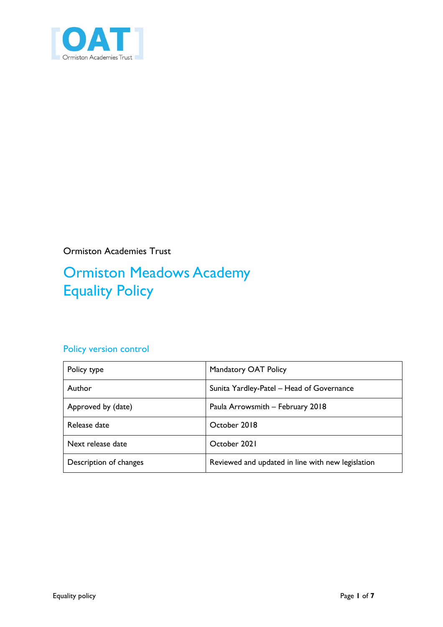

Ormiston Academies Trust

# Ormiston Meadows Academy Equality Policy

#### Policy version control

| Policy type            | Mandatory OAT Policy                              |
|------------------------|---------------------------------------------------|
| Author                 | Sunita Yardley-Patel - Head of Governance         |
| Approved by (date)     | Paula Arrowsmith - February 2018                  |
| Release date           | October 2018                                      |
| Next release date      | October 2021                                      |
| Description of changes | Reviewed and updated in line with new legislation |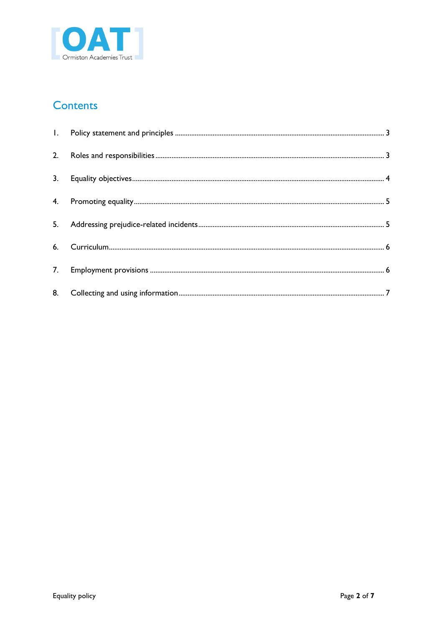

#### **Contents**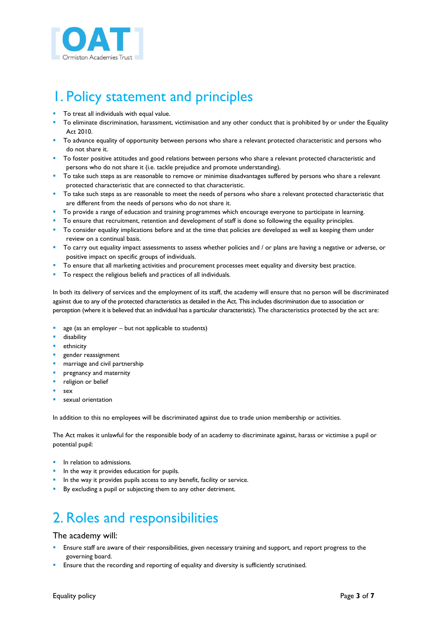

# <span id="page-2-0"></span>1. Policy statement and principles

- **To treat all individuals with equal value.**
- To eliminate discrimination, harassment, victimisation and any other conduct that is prohibited by or under the Equality Act 2010.
- To advance equality of opportunity between persons who share a relevant protected characteristic and persons who do not share it.
- To foster positive attitudes and good relations between persons who share a relevant protected characteristic and persons who do not share it (i.e. tackle prejudice and promote understanding).
- To take such steps as are reasonable to remove or minimise disadvantages suffered by persons who share a relevant protected characteristic that are connected to that characteristic.
- To take such steps as are reasonable to meet the needs of persons who share a relevant protected characteristic that are different from the needs of persons who do not share it.
- To provide a range of education and training programmes which encourage everyone to participate in learning.
- To ensure that recruitment, retention and development of staff is done so following the equality principles.
- To consider equality implications before and at the time that policies are developed as well as keeping them under review on a continual basis.
- To carry out equality impact assessments to assess whether policies and / or plans are having a negative or adverse, or positive impact on specific groups of individuals.
- To ensure that all marketing activities and procurement processes meet equality and diversity best practice.
- To respect the religious beliefs and practices of all individuals.

In both its delivery of services and the employment of its staff, the academy will ensure that no person will be discriminated against due to any of the protected characteristics as detailed in the Act. This includes discrimination due to association or perception (where it is believed that an individual has a particular characteristic). The characteristics protected by the act are:

- age (as an employer but not applicable to students)
- disability
- ethnicity
- gender reassignment
- marriage and civil partnership
- pregnancy and maternity
- religion or belief
- sex
- sexual orientation

In addition to this no employees will be discriminated against due to trade union membership or activities.

The Act makes it unlawful for the responsible body of an academy to discriminate against, harass or victimise a pupil or potential pupil:

- **IF** In relation to admissions.
- In the way it provides education for pupils.
- In the way it provides pupils access to any benefit, facility or service.
- By excluding a pupil or subjecting them to any other detriment.

### <span id="page-2-1"></span>2. Roles and responsibilities

#### The academy will:

- Ensure staff are aware of their responsibilities, given necessary training and support, and report progress to the governing board.
- Ensure that the recording and reporting of equality and diversity is sufficiently scrutinised.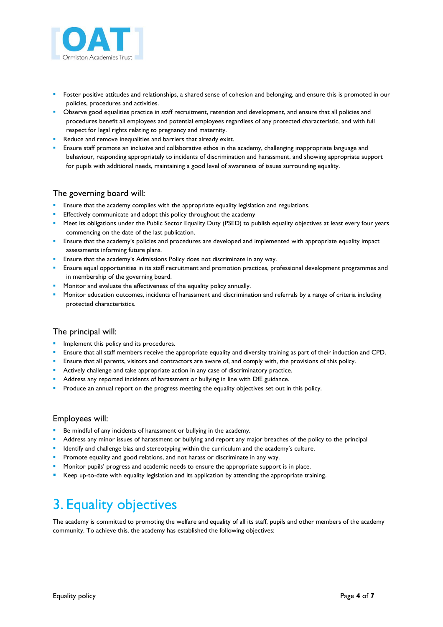

- Foster positive attitudes and relationships, a shared sense of cohesion and belonging, and ensure this is promoted in our policies, procedures and activities.
- **Deserve good equalities practice in staff recruitment, retention and development, and ensure that all policies and** procedures benefit all employees and potential employees regardless of any protected characteristic, and with full respect for legal rights relating to pregnancy and maternity.
- Reduce and remove inequalities and barriers that already exist.
- Ensure staff promote an inclusive and collaborative ethos in the academy, challenging inappropriate language and behaviour, responding appropriately to incidents of discrimination and harassment, and showing appropriate support for pupils with additional needs, maintaining a good level of awareness of issues surrounding equality.

#### The governing board will:

- **E** Ensure that the academy complies with the appropriate equality legislation and regulations.
- Effectively communicate and adopt this policy throughout the academy
- Meet its obligations under the Public Sector Equality Duty (PSED) to publish equality objectives at least every four years commencing on the date of the last publication.
- **Ensure that the academy's policies and procedures are developed and implemented with appropriate equality impact** assessments informing future plans.
- **Ensure that the academy's Admissions Policy does not discriminate in any way.**
- **Ensure equal opportunities in its staff recruitment and promotion practices, professional development programmes and** in membership of the governing board.
- **Monitor and evaluate the effectiveness of the equality policy annually.**
- Monitor education outcomes, incidents of harassment and discrimination and referrals by a range of criteria including protected characteristics.

#### The principal will:

- **Implement this policy and its procedures.**
- **Ensure that all staff members receive the appropriate equality and diversity training as part of their induction and CPD.**
- **Ensure that all parents, visitors and contractors are aware of, and comply with, the provisions of this policy.**
- **Actively challenge and take appropriate action in any case of discriminatory practice.**
- Address any reported incidents of harassment or bullying in line with DfE guidance.
- Produce an annual report on the progress meeting the equality objectives set out in this policy.

#### Employees will:

- Be mindful of any incidents of harassment or bullying in the academy.
- Address any minor issues of harassment or bullying and report any major breaches of the policy to the principal
- **IDENT IDENT IS A LOCATE THE MET A LOCATE IS CONTEX THE META** in the stademy's culture.
- **Promote equality and good relations, and not harass or discriminate in any way.**
- Monitor pupils' progress and academic needs to ensure the appropriate support is in place.
- Keep up-to-date with equality legislation and its application by attending the appropriate training.

# <span id="page-3-0"></span>3. Equality objectives

The academy is committed to promoting the welfare and equality of all its staff, pupils and other members of the academy community. To achieve this, the academy has established the following objectives: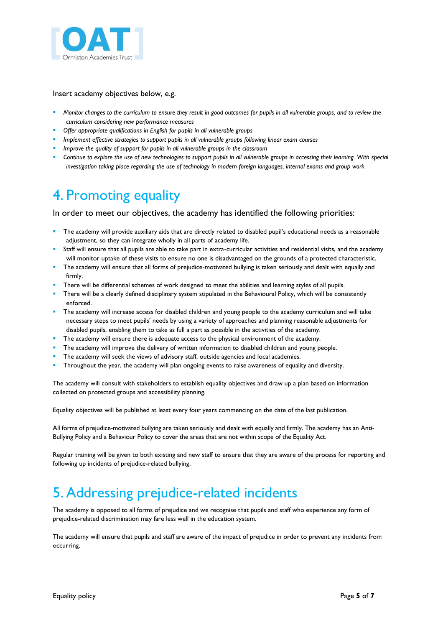

Insert academy objectives below, e.g.

- *Monitor changes to the curriculum to ensure they result in good outcomes for pupils in all vulnerable groups, and to review the curriculum considering new performance measures*
- *Offer appropriate qualifications in English for pupils in all vulnerable groups*
- *Implement effective strategies to support pupils in all vulnerable groups following linear exam courses*
- *Improve the quality of support for pupils in all vulnerable groups in the classroom*
- *Continue to explore the use of new technologies to support pupils in all vulnerable groups in accessing their learning. With special investigation taking place regarding the use of technology in modern foreign languages, internal exams and group work*

### <span id="page-4-0"></span>4. Promoting equality

In order to meet our objectives, the academy has identified the following priorities:

- The academy will provide auxiliary aids that are directly related to disabled pupil's educational needs as a reasonable adjustment, so they can integrate wholly in all parts of academy life.
- Staff will ensure that all pupils are able to take part in extra-curricular activities and residential visits, and the academy will monitor uptake of these visits to ensure no one is disadvantaged on the grounds of a protected characteristic.
- The academy will ensure that all forms of prejudice-motivated bullying is taken seriously and dealt with equally and firmly.
- There will be differential schemes of work designed to meet the abilities and learning styles of all pupils.
- There will be a clearly defined disciplinary system stipulated in the Behavioural Policy, which will be consistently enforced.
- **The academy will increase access for disabled children and young people to the academy curriculum and will take** necessary steps to meet pupils' needs by using a variety of approaches and planning reasonable adjustments for disabled pupils, enabling them to take as full a part as possible in the activities of the academy.
- The academy will ensure there is adequate access to the physical environment of the academy.
- The academy will improve the delivery of written information to disabled children and young people.
- The academy will seek the views of advisory staff, outside agencies and local academies.
- Throughout the year, the academy will plan ongoing events to raise awareness of equality and diversity.

The academy will consult with stakeholders to establish equality objectives and draw up a plan based on information collected on protected groups and accessibility planning.

Equality objectives will be published at least every four years commencing on the date of the last publication.

All forms of prejudice-motivated bullying are taken seriously and dealt with equally and firmly. The academy has an Anti-Bullying Policy and a Behaviour Policy to cover the areas that are not within scope of the Equality Act.

Regular training will be given to both existing and new staff to ensure that they are aware of the process for reporting and following up incidents of prejudice-related bullying.

### <span id="page-4-1"></span>5. Addressing prejudice-related incidents

The academy is opposed to all forms of prejudice and we recognise that pupils and staff who experience any form of prejudice-related discrimination may fare less well in the education system.

The academy will ensure that pupils and staff are aware of the impact of prejudice in order to prevent any incidents from occurring.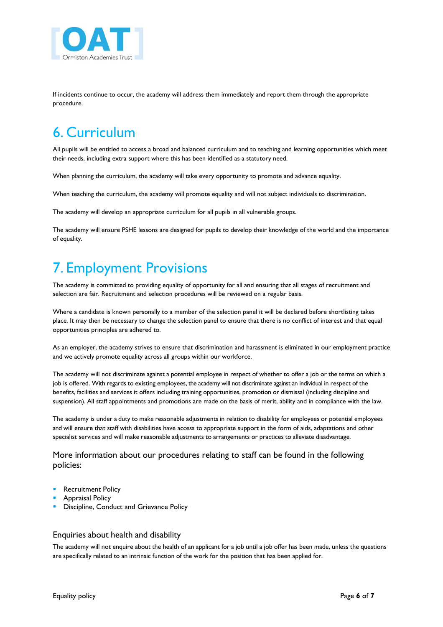

If incidents continue to occur, the academy will address them immediately and report them through the appropriate procedure.

# <span id="page-5-0"></span>6. Curriculum

All pupils will be entitled to access a broad and balanced curriculum and to teaching and learning opportunities which meet their needs, including extra support where this has been identified as a statutory need.

When planning the curriculum, the academy will take every opportunity to promote and advance equality.

When teaching the curriculum, the academy will promote equality and will not subject individuals to discrimination.

The academy will develop an appropriate curriculum for all pupils in all vulnerable groups.

The academy will ensure PSHE lessons are designed for pupils to develop their knowledge of the world and the importance of equality.

# <span id="page-5-1"></span>7. Employment Provisions

The academy is committed to providing equality of opportunity for all and ensuring that all stages of recruitment and selection are fair. Recruitment and selection procedures will be reviewed on a regular basis.

Where a candidate is known personally to a member of the selection panel it will be declared before shortlisting takes place. It may then be necessary to change the selection panel to ensure that there is no conflict of interest and that equal opportunities principles are adhered to.

As an employer, the academy strives to ensure that discrimination and harassment is eliminated in our employment practice and we actively promote equality across all groups within our workforce.

The academy will not discriminate against a potential employee in respect of whether to offer a job or the terms on which a job is offered. With regards to existing employees, the academy will not discriminate against an individual in respect of the benefits, facilities and services it offers including training opportunities, promotion or dismissal (including discipline and suspension). All staff appointments and promotions are made on the basis of merit, ability and in compliance with the law.

The academy is under a duty to make reasonable adjustments in relation to disability for employees or potential employees and will ensure that staff with disabilities have access to appropriate support in the form of aids, adaptations and other specialist services and will make reasonable adjustments to arrangements or practices to alleviate disadvantage.

More information about our procedures relating to staff can be found in the following policies:

- **Recruitment Policy**
- **Appraisal Policy**
- Discipline, Conduct and Grievance Policy

#### Enquiries about health and disability

The academy will not enquire about the health of an applicant for a job until a job offer has been made, unless the questions are specifically related to an intrinsic function of the work for the position that has been applied for.